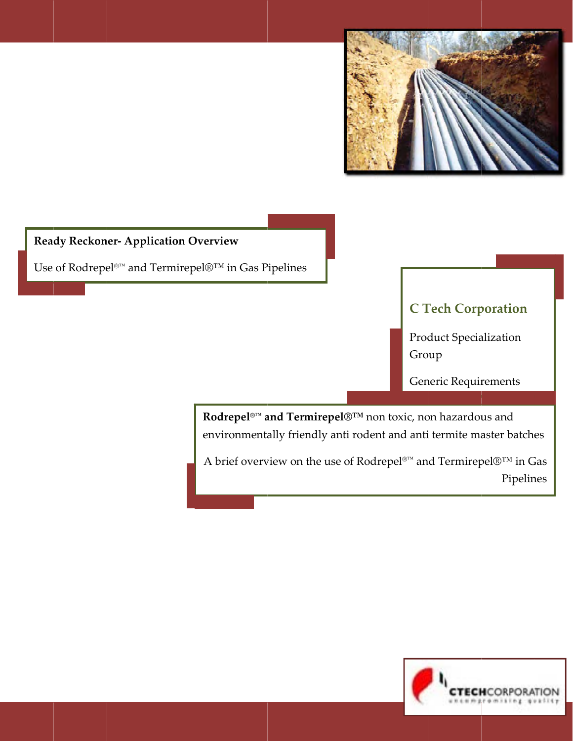

### **Ready Reckoner- Application Overview**

Use of Rodrepel<sup>®™</sup> and Termirepel<sup>®™</sup> in Gas Pipelines

# **C Tech Corporation**

**Product Specialization** Group

Generic Requirements

Rodrepel<sup>®™</sup> and Termirepel®™ non toxic, non hazardous and environmentally friendly anti rodent and anti termite master batches

A brief overview on the use of Rodrepel®™ and Termirepel®™ in Gas Pipelines

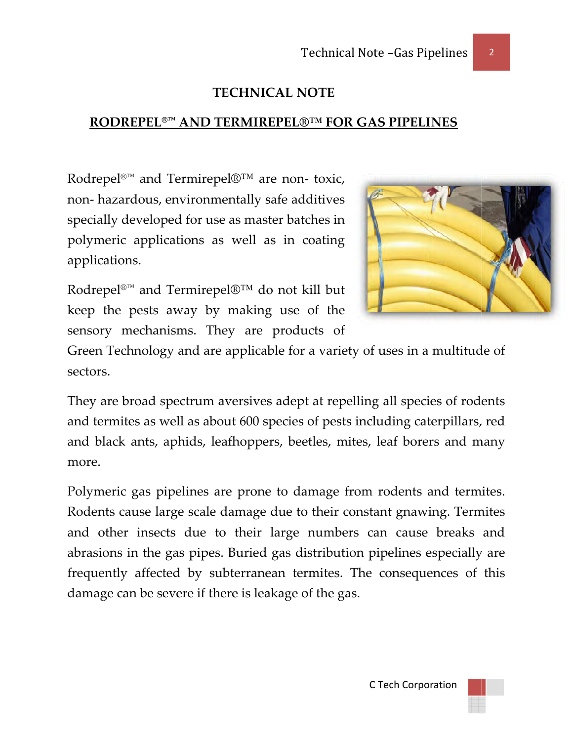### **TECHNICAL NOTE**

## **RODREPEL<sup>®™</sup> AND TERMIREPEL®™ FOR GAS PIPELINES**

Rodrepel<sup>®™</sup> and Termirepel®™ are non- toxic, non-hazardous, environmentally safe additives specially developed for use as master batches in polymeric applications as well as in coating applications.



 $\overline{2}$ 

Rodrepel<br/>®™ and Termirepel®™ do not kill but keep the pests away by making use of the sensory mechanisms. They are products of

Green Technology and are applicable for a variety of uses in a multitude of sectors.

They are broad spectrum aversives adept at repelling all species of rodents and termites as well as about 600 species of pests including caterpillars, red and black ants, aphids, leafhoppers, beetles, mites, leaf borers and many more.

Polymeric gas pipelines are prone to damage from rodents and termites. Rodents cause large scale damage due to their constant gnawing. Termites and other insects due to their large numbers can cause breaks and abrasions in the gas pipes. Buried gas distribution pipelines especially are frequently affected by subterranean termites. The consequences of this damage can be severe if there is leakage of the gas.

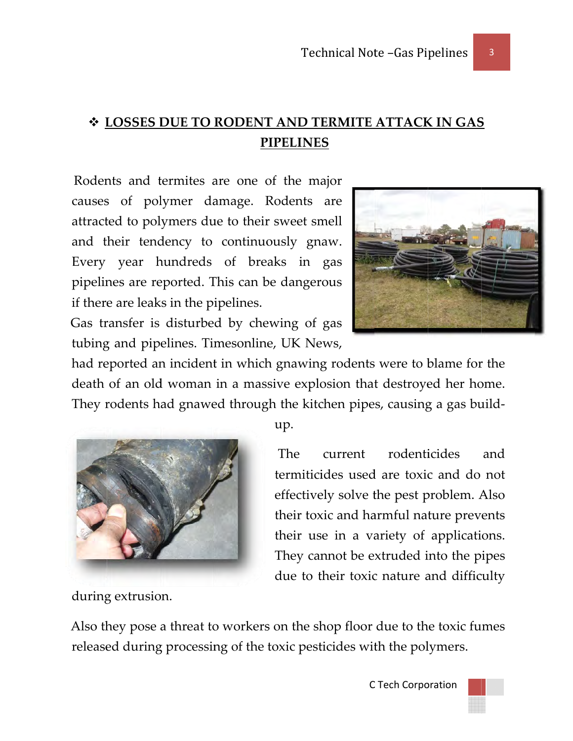# ❖ LOSSES DUE TO RODENT AND TERMITE ATTACK IN GAS **PIPELINES**

Rodents and termites are one of the major causes of polymer damage. Rodents are attracted to polymers due to their sweet smell and their tendency to continuously gnaw. Every year hundreds of breaks in gas pipelines are reported. This can be dangerous if there are leaks in the pipelines.

Gas transfer is disturbed by chewing of gas tubing and pipelines. Timesonline, UK News,



3

had reported an incident in which gnawing rodents were to blame for the death of an old woman in a massive explosion that destroyed her home. They rodents had gnawed through the kitchen pipes, causing a gas build-



during extrusion.

up.

The rodenticides current and termiticides used are toxic and do not effectively solve the pest problem. Also their toxic and harmful nature prevents their use in a variety of applications. They cannot be extruded into the pipes due to their toxic nature and difficulty

Also they pose a threat to workers on the shop floor due to the toxic fumes released during processing of the toxic pesticides with the polymers.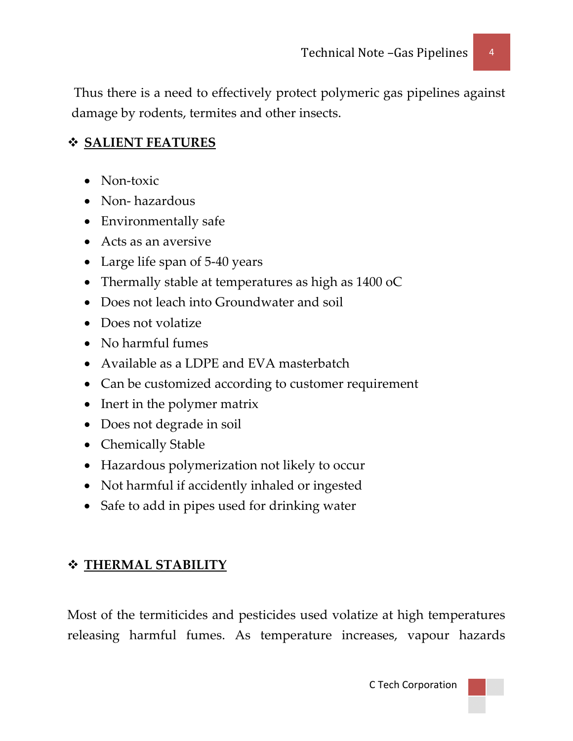Thus there is a need to effectively protect polymeric gas pipelines against damage by rodents, termites and other insects.

### **SALIENT FEATURES**

- Non-toxic
- Non-hazardous
- Environmentally safe
- Acts as an aversive
- Large life span of 5-40 years
- Thermally stable at temperatures as high as 1400 oC
- Does not leach into Groundwater and soil
- Does not volatize
- No harmful fumes
- Available as a LDPE and EVA masterbatch
- Can be customized according to customer requirement
- Inert in the polymer matrix
- Does not degrade in soil
- Chemically Stable
- Hazardous polymerization not likely to occur
- Not harmful if accidently inhaled or ingested
- Safe to add in pipes used for drinking water

## **THERMAL STABILITY**

Most of the termiticides and pesticides used volatize at high temperatures releasing harmful fumes. As temperature increases, vapour hazards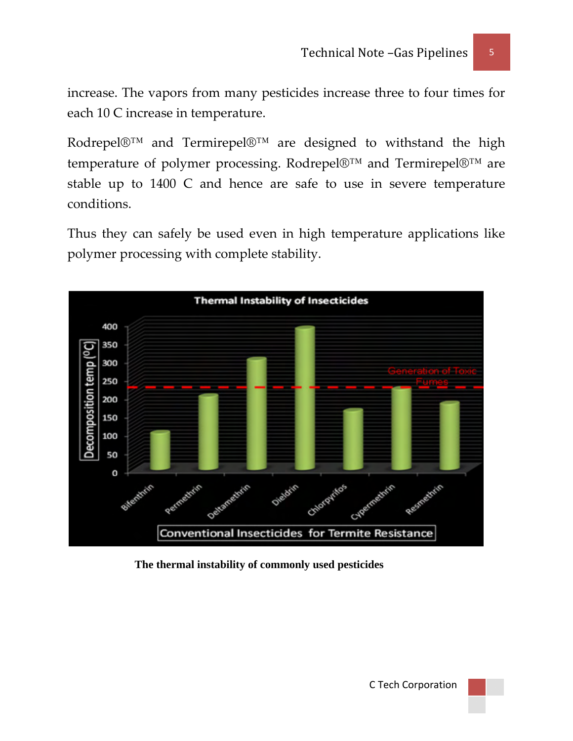increase. The vapors from many pesticides increase three to four times for each 10 C increase in temperature.

Rodrepel®™ and Termirepel®™ are designed to withstand the high temperature of polymer processing. Rodrepel®™ and Termirepel®™ are stable up to 1400 C and hence are safe to use in severe temperature conditions.

Thus they can safely be used even in high temperature applications like polymer processing with complete stability.



#### **The thermal instability of commonly used pesticides**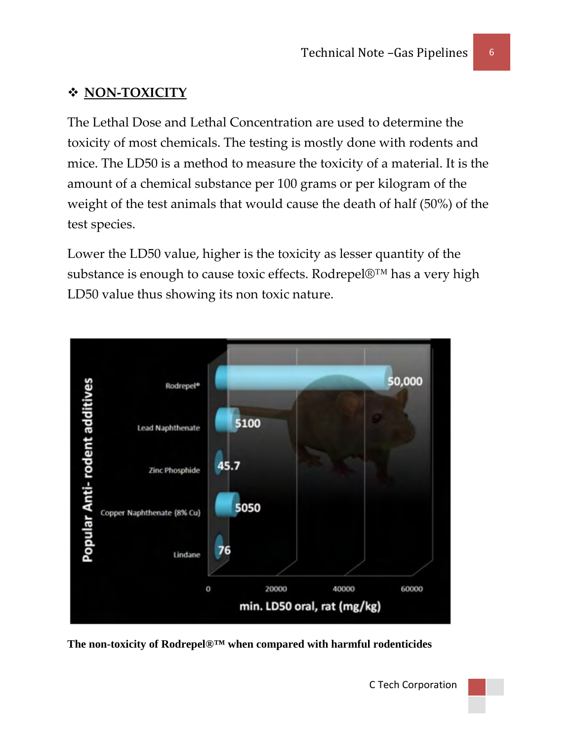### **NON‐TOXICITY**

The Lethal Dose and Lethal Concentration are used to determine the toxicity of most chemicals. The testing is mostly done with rodents and mice. The LD50 is a method to measure the toxicity of a material. It is the amount of a chemical substance per 100 grams or per kilogram of the weight of the test animals that would cause the death of half (50%) of the test species.

substance is enough to cause toxic effects. Rodrepel®™ has a very high D50 value thus showing its non toxic nature. L Lower the LD50 value, higher is the toxicity as lesser quantity of the

![](_page_5_Figure_4.jpeg)

The non-toxicity of Rodrepel<sup>®™</sup> when compared with harmful rodenticides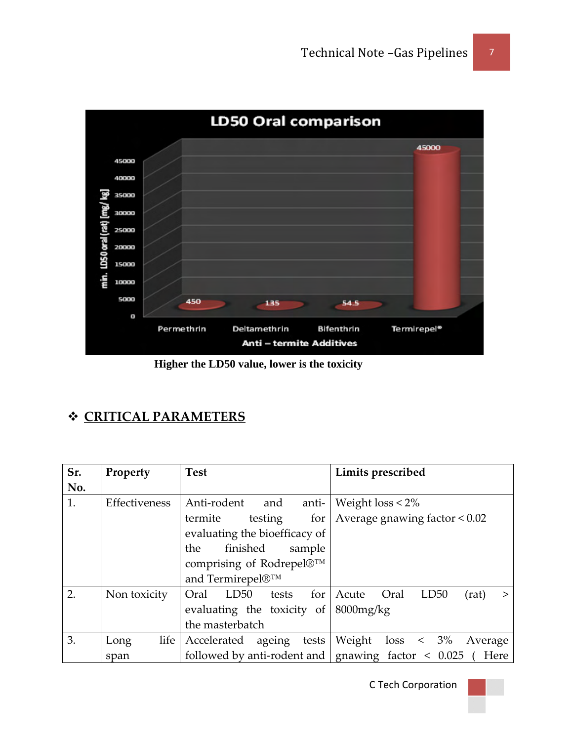![](_page_6_Figure_1.jpeg)

 **Higher the LD50 value, lower is the toxicity** 

## **CRITICAL PARAMETERS**

| Sr. | Property      | <b>Test</b>                    | Limits prescribed                                                       |
|-----|---------------|--------------------------------|-------------------------------------------------------------------------|
| No. |               |                                |                                                                         |
| 1.  | Effectiveness | Anti-rodent<br>anti-<br>and    | Weight $loss < 2\%$                                                     |
|     |               | termite<br>testing<br>for      | Average gnawing factor < 0.02                                           |
|     |               | evaluating the bioefficacy of  |                                                                         |
|     |               | finished<br>the<br>sample      |                                                                         |
|     |               | comprising of Rodrepel®™       |                                                                         |
|     |               | and Termirepel®™               |                                                                         |
| 2.  | Non toxicity  | LD50<br>for<br>Oral<br>tests   | Oral<br>LD50<br>Acute<br>(rat)<br>$\geq$                                |
|     |               | evaluating the toxicity of     | $8000$ mg/ $kg$                                                         |
|     |               | the masterbatch                |                                                                         |
| 3.  | life<br>Long  | Accelerated<br>ageing<br>tests | Weight $loss < 3\%$<br>Average                                          |
|     | span          |                                | followed by anti-rodent and $\vert$ gnawing factor $\vert$ 0.025 ( Here |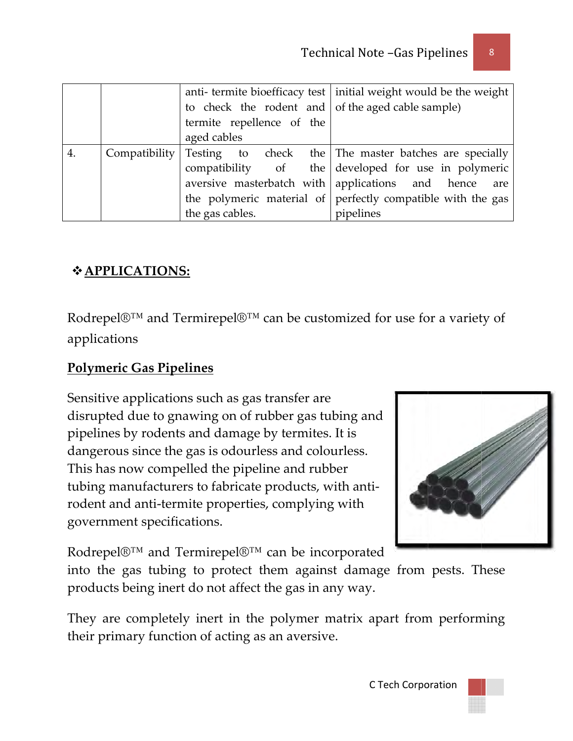|  |                           |  | anti-termite bioefficacy test   initial weight would be the weight  |
|--|---------------------------|--|---------------------------------------------------------------------|
|  |                           |  | to check the rodent and of the aged cable sample)                   |
|  | termite repellence of the |  |                                                                     |
|  | aged cables               |  |                                                                     |
|  |                           |  | Compatibility Testing to check the The master batches are specially |
|  |                           |  | compatibility of the developed for use in polymeric                 |
|  |                           |  | aversive masterbatch with applications and hence are                |
|  |                           |  | the polymeric material of perfectly compatible with the gas         |
|  | the gas cables.           |  | pipelines                                                           |

### 

Rodrepel $\mathbb{D}^{TM}$  and Termirepel $\mathbb{D}^{TM}$  can be customized for use for a variety of applications

### **Polymeric Gas Pipelines**

Sensitive applications such as gas transfer are disrupted due to gnawing on of rubber gas tubing and pipelines by rodents and damage by termites. It is dangerous since the gas is odourless and colourless. This has now compelled the pipeline and rubber tubing manufacturers to fabricate products, with antirodent and anti-termite properties, complying with government specifications.

![](_page_7_Picture_6.jpeg)

Rodrepel®™ and Termirepel®™ can be incorporated

into the gas tubing to protect them against damage from pests. These products being inert do not affect the gas in any way.

They are completely inert in the polymer matrix apart from performing their primary function of acting as an aversive.

8